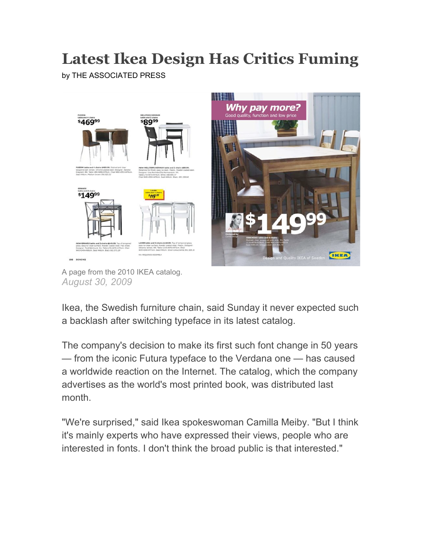## **Latest Ikea Design Has Critics Fuming**

by THE ASSOCIATED PRESS



A page from the 2010 IKEA catalog. *August 30, 2009*

Ikea, the Swedish furniture chain, said Sunday it never expected such a backlash after switching typeface in its latest catalog.

The company's decision to make its first such font change in 50 years — from the iconic Futura typeface to the Verdana one — has caused a worldwide reaction on the Internet. The catalog, which the company advertises as the world's most printed book, was distributed last month.

"We're surprised," said Ikea spokeswoman Camilla Meiby. "But I think it's mainly experts who have expressed their views, people who are interested in fonts. I don't think the broad public is that interested."